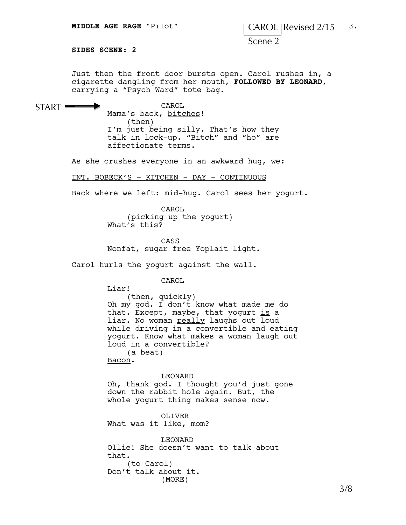## **MIDDLE AGE RAGE** "Pilot" | CAROL Revised 2/15 <sup>3</sup>

Scene 2

**SIDES SCENE: 2**

 $START$   $=$ 

Just then the front door bursts open. Carol rushes in, a cigarette dangling from her mouth, **FOLLOWED BY LEONARD**, carrying a "Psych Ward" tote bag.

CAROL Mama's back, bitches! (then) I'm just being silly. That's how they talk in lock-up. "Bitch" and "ho" are affectionate terms.

As she crushes everyone in an awkward hug, we:

INT. BOBECK'S - KITCHEN - DAY - CONTINUOUS

Back where we left: mid-hug. Carol sees her yogurt.

CAROL (picking up the yogurt) What's this?

CASS Nonfat, sugar free Yoplait light.

Carol hurls the yogurt against the wall.

CAROL

Liar! (then, quickly) Oh my god. I don't know what made me do that. Except, maybe, that yogurt  $is$  a liar. No woman really laughs out loud while driving in a convertible and eating yogurt. Know what makes a woman laugh out loud in a convertible? (a beat)

Bacon.

## LEONARD

Oh, thank god. I thought you'd just gone down the rabbit hole again. But, the whole yogurt thing makes sense now.

OLIVER What was it like, mom?

LEONARD Ollie! She doesn't want to talk about that. (to Carol) Don't talk about it. (MORE)